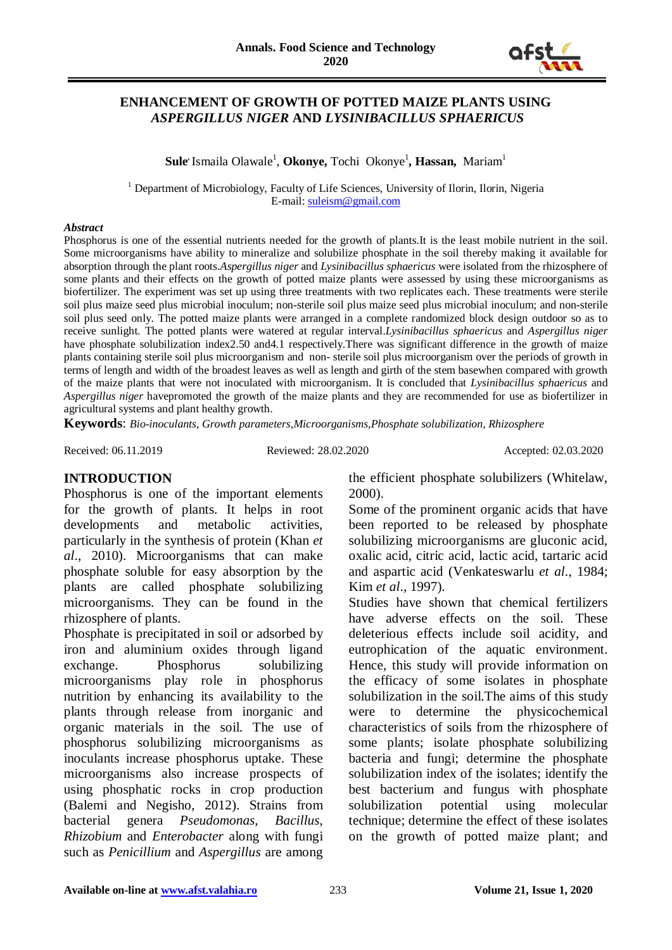

## **ENHANCEMENT OF GROWTH OF POTTED MAIZE PLANTS USING** *ASPERGILLUS NIGER* **AND** *LYSINIBACILLUS SPHAERICUS*

 $\boldsymbol{\mathrm{Sule}}$  Ismaila Olawale<sup>1</sup>, **Okonye,** Tochi Okonye<sup>1</sup>, **Hassan,** Mariam<sup>1</sup>

<sup>1</sup> Department of Microbiology, Faculty of Life Sciences, University of Ilorin, Ilorin, Nigeria E-mail: [suleism@gmail.com](mailto:suleism@gmail.com)

#### *Abstract*

Phosphorus is one of the essential nutrients needed for the growth of plants.It is the least mobile nutrient in the soil. Some microorganisms have ability to mineralize and solubilize phosphate in the soil thereby making it available for absorption through the plant roots.*Aspergillus niger* and *Lysinibacillus sphaericus* were isolated from the rhizosphere of some plants and their effects on the growth of potted maize plants were assessed by using these microorganisms as biofertilizer. The experiment was set up using three treatments with two replicates each. These treatments were sterile soil plus maize seed plus microbial inoculum; non-sterile soil plus maize seed plus microbial inoculum; and non-sterile soil plus seed only. The potted maize plants were arranged in a complete randomized block design outdoor so as to receive sunlight. The potted plants were watered at regular interval.*Lysinibacillus sphaericus* and *Aspergillus niger* have phosphate solubilization index2.50 and4.1 respectively. There was significant difference in the growth of maize plants containing sterile soil plus microorganism and non- sterile soil plus microorganism over the periods of growth in terms of length and width of the broadest leaves as well as length and girth of the stem basewhen compared with growth of the maize plants that were not inoculated with microorganism. It is concluded that *Lysinibacillus sphaericus* and *Aspergillus niger* havepromoted the growth of the maize plants and they are recommended for use as biofertilizer in agricultural systems and plant healthy growth.

**Keywords**: *Bio-inoculants, Growth parameters,Microorganisms,Phosphate solubilization, Rhizosphere*

Received: 06.11.2019 Reviewed: 28.02.2020 Accepted: 02.03.2020

#### **INTRODUCTION**

Phosphorus is one of the important elements for the growth of plants. It helps in root developments and metabolic activities, particularly in the synthesis of protein (Khan *et al*., 2010). Microorganisms that can make phosphate soluble for easy absorption by the plants are called phosphate solubilizing microorganisms. They can be found in the rhizosphere of plants.

Phosphate is precipitated in soil or adsorbed by iron and aluminium oxides through ligand exchange. Phosphorus solubilizing microorganisms play role in phosphorus nutrition by enhancing its availability to the plants through release from inorganic and organic materials in the soil. The use of phosphorus solubilizing microorganisms as inoculants increase phosphorus uptake. These microorganisms also increase prospects of using phosphatic rocks in crop production (Balemi and Negisho, 2012). Strains from bacterial genera *Pseudomonas*, *Bacillus*, *Rhizobium* and *Enterobacter* along with fungi such as *Penicillium* and *Aspergillus* are among

the efficient phosphate solubilizers (Whitelaw, 2000).

Some of the prominent organic acids that have been reported to be released by phosphate solubilizing microorganisms are gluconic acid, oxalic acid, citric acid, lactic acid, tartaric acid and aspartic acid (Venkateswarlu *et al*., 1984; Kim *et al*., 1997).

Studies have shown that chemical fertilizers have adverse effects on the soil. These deleterious effects include soil acidity, and eutrophication of the aquatic environment. Hence, this study will provide information on the efficacy of some isolates in phosphate solubilization in the soil.The aims of this study were to determine the physicochemical characteristics of soils from the rhizosphere of some plants; isolate phosphate solubilizing bacteria and fungi; determine the phosphate solubilization index of the isolates; identify the best bacterium and fungus with phosphate solubilization potential using molecular technique; determine the effect of these isolates on the growth of potted maize plant; and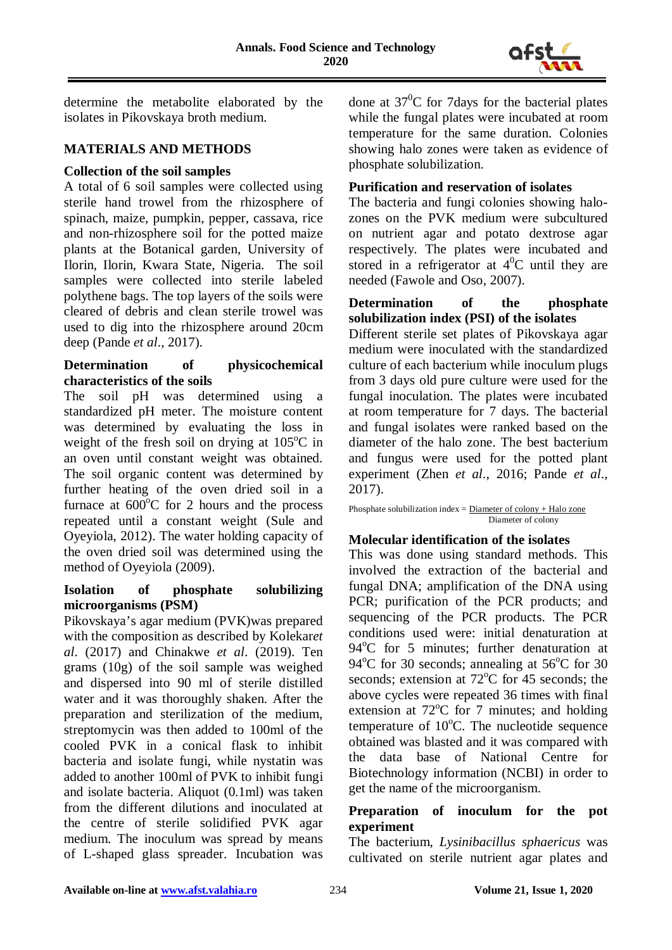

determine the metabolite elaborated by the isolates in Pikovskaya broth medium.

## **MATERIALS AND METHODS**

## **Collection of the soil samples**

A total of 6 soil samples were collected using sterile hand trowel from the rhizosphere of spinach, maize, pumpkin, pepper, cassava, rice and non-rhizosphere soil for the potted maize plants at the Botanical garden, University of Ilorin, Ilorin, Kwara State, Nigeria. The soil samples were collected into sterile labeled polythene bags. The top layers of the soils were cleared of debris and clean sterile trowel was used to dig into the rhizosphere around 20cm deep (Pande *et al*., 2017).

## **Determination of physicochemical characteristics of the soils**

The soil pH was determined using a standardized pH meter. The moisture content was determined by evaluating the loss in weight of the fresh soil on drying at 105°C in an oven until constant weight was obtained. The soil organic content was determined by further heating of the oven dried soil in a furnace at  $600^{\circ}$ C for 2 hours and the process repeated until a constant weight (Sule and Oyeyiola, 2012). The water holding capacity of the oven dried soil was determined using the method of Oyeyiola (2009).

#### **Isolation of phosphate solubilizing microorganisms (PSM)**

Pikovskaya's agar medium (PVK)was prepared with the composition as described by Kolekar*et al*. (2017) and Chinakwe *et al*. (2019). Ten grams (10g) of the soil sample was weighed and dispersed into 90 ml of sterile distilled water and it was thoroughly shaken. After the preparation and sterilization of the medium, streptomycin was then added to 100ml of the cooled PVK in a conical flask to inhibit bacteria and isolate fungi, while nystatin was added to another 100ml of PVK to inhibit fungi and isolate bacteria. Aliquot (0.1ml) was taken from the different dilutions and inoculated at the centre of sterile solidified PVK agar medium. The inoculum was spread by means of L-shaped glass spreader. Incubation was done at  $37^0$ C for 7days for the bacterial plates while the fungal plates were incubated at room temperature for the same duration. Colonies showing halo zones were taken as evidence of phosphate solubilization.

## **Purification and reservation of isolates**

The bacteria and fungi colonies showing halozones on the PVK medium were subcultured on nutrient agar and potato dextrose agar respectively. The plates were incubated and stored in a refrigerator at  $4^0C$  until they are needed (Fawole and Oso, 2007).

# **Determination of the phosphate solubilization index (PSI) of the isolates**

Different sterile set plates of Pikovskaya agar medium were inoculated with the standardized culture of each bacterium while inoculum plugs from 3 days old pure culture were used for the fungal inoculation. The plates were incubated at room temperature for 7 days. The bacterial and fungal isolates were ranked based on the diameter of the halo zone. The best bacterium and fungus were used for the potted plant experiment (Zhen *et al*., 2016; Pande *et al*., 2017).

Phosphate solubilization index =  $Diameter\ of\ colony + Halo\ zone$ Diameter of colony

# **Molecular identification of the isolates**

This was done using standard methods. This involved the extraction of the bacterial and fungal DNA; amplification of the DNA using PCR; purification of the PCR products; and sequencing of the PCR products. The PCR conditions used were: initial denaturation at 94°C for 5 minutes; further denaturation at 94°C for 30 seconds; annealing at 56°C for 30 seconds; extension at 72°C for 45 seconds; the above cycles were repeated 36 times with final extension at 72°C for 7 minutes; and holding temperature of 10°C. The nucleotide sequence obtained was blasted and it was compared with the data base of National Centre for Biotechnology information (NCBI) in order to get the name of the microorganism.

#### **Preparation of inoculum for the pot experiment**

The bacterium, *Lysinibacillus sphaericus* was cultivated on sterile nutrient agar plates and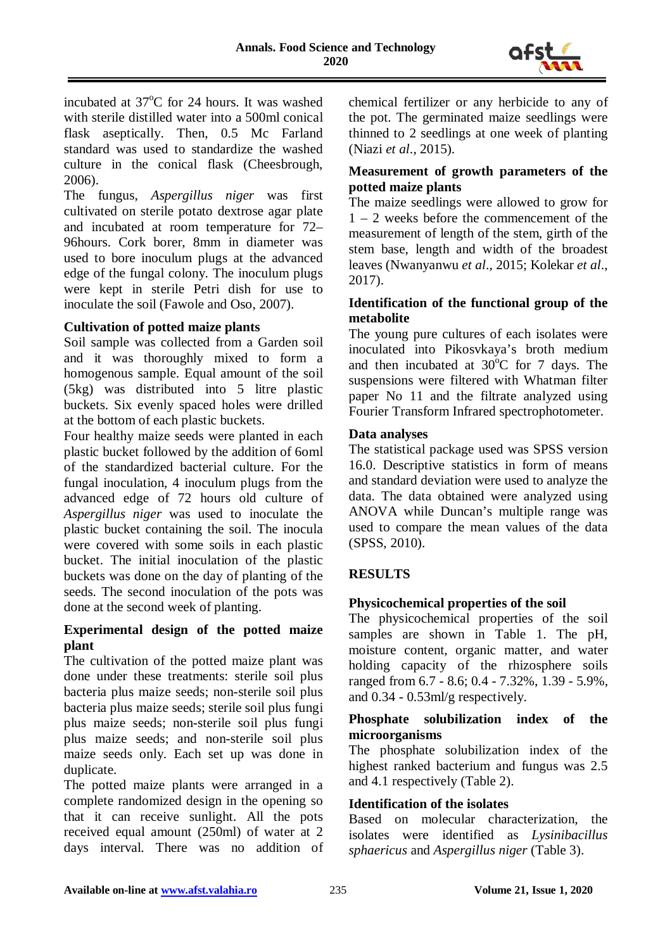

incubated at 37°C for 24 hours. It was washed with sterile distilled water into a 500ml conical flask aseptically. Then, 0.5 Mc Farland standard was used to standardize the washed culture in the conical flask (Cheesbrough, 2006).

The fungus, *Aspergillus niger* was first cultivated on sterile potato dextrose agar plate and incubated at room temperature for 72– 96hours. Cork borer, 8mm in diameter was used to bore inoculum plugs at the advanced edge of the fungal colony. The inoculum plugs were kept in sterile Petri dish for use to inoculate the soil (Fawole and Oso, 2007).

# **Cultivation of potted maize plants**

Soil sample was collected from a Garden soil and it was thoroughly mixed to form a homogenous sample. Equal amount of the soil (5kg) was distributed into 5 litre plastic buckets. Six evenly spaced holes were drilled at the bottom of each plastic buckets.

Four healthy maize seeds were planted in each plastic bucket followed by the addition of 6oml of the standardized bacterial culture. For the fungal inoculation, 4 inoculum plugs from the advanced edge of 72 hours old culture of *Aspergillus niger* was used to inoculate the plastic bucket containing the soil. The inocula were covered with some soils in each plastic bucket. The initial inoculation of the plastic buckets was done on the day of planting of the seeds. The second inoculation of the pots was done at the second week of planting.

## **Experimental design of the potted maize plant**

The cultivation of the potted maize plant was done under these treatments: sterile soil plus bacteria plus maize seeds; non-sterile soil plus bacteria plus maize seeds; sterile soil plus fungi plus maize seeds; non-sterile soil plus fungi plus maize seeds; and non-sterile soil plus maize seeds only. Each set up was done in duplicate.

The potted maize plants were arranged in a complete randomized design in the opening so that it can receive sunlight. All the pots received equal amount (250ml) of water at 2 days interval. There was no addition of chemical fertilizer or any herbicide to any of the pot. The germinated maize seedlings were thinned to 2 seedlings at one week of planting (Niazi *et al*., 2015).

## **Measurement of growth parameters of the potted maize plants**

The maize seedlings were allowed to grow for 1 – 2 weeks before the commencement of the measurement of length of the stem, girth of the stem base, length and width of the broadest leaves (Nwanyanwu *et al*., 2015; Kolekar *et al*., 2017).

## **Identification of the functional group of the metabolite**

The young pure cultures of each isolates were inoculated into Pikosvkaya's broth medium and then incubated at  $30^{\circ}$ C for 7 days. The suspensions were filtered with Whatman filter paper No 11 and the filtrate analyzed using Fourier Transform Infrared spectrophotometer.

## **Data analyses**

The statistical package used was SPSS version 16.0. Descriptive statistics in form of means and standard deviation were used to analyze the data. The data obtained were analyzed using ANOVA while Duncan's multiple range was used to compare the mean values of the data (SPSS, 2010).

# **RESULTS**

# **Physicochemical properties of the soil**

The physicochemical properties of the soil samples are shown in Table 1. The pH, moisture content, organic matter, and water holding capacity of the rhizosphere soils ranged from 6.7 - 8.6; 0.4 - 7.32%, 1.39 - 5.9%, and 0.34 - 0.53ml/g respectively.

## **Phosphate solubilization index of the microorganisms**

The phosphate solubilization index of the highest ranked bacterium and fungus was 2.5 and 4.1 respectively (Table 2).

#### **Identification of the isolates**

Based on molecular characterization, the isolates were identified as *Lysinibacillus sphaericus* and *Aspergillus niger* (Table 3).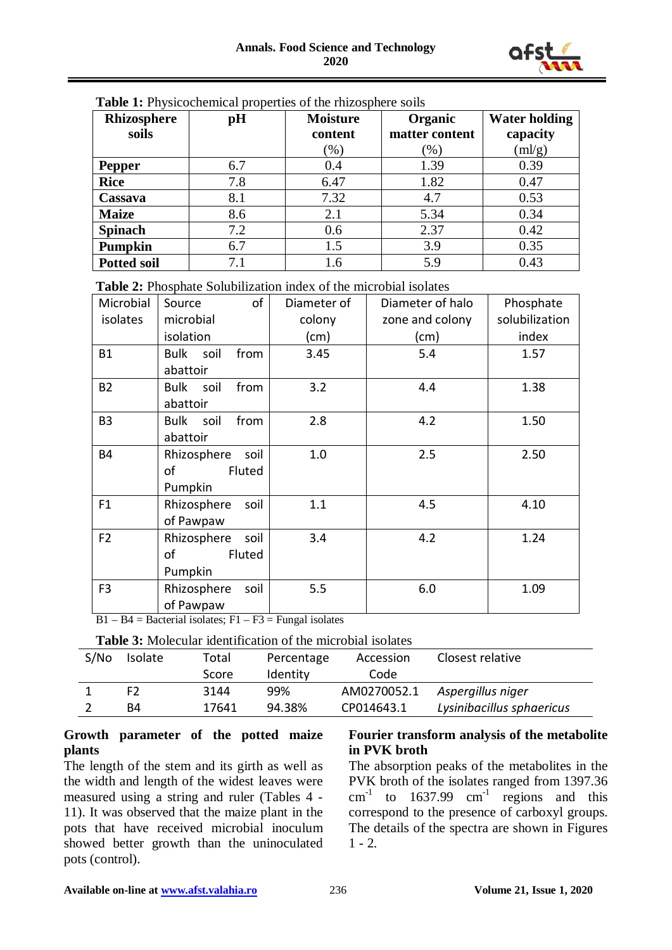

| Rhizosphere        | pH  | <b>Moisture</b> | Organic        | <b>Water holding</b> |
|--------------------|-----|-----------------|----------------|----------------------|
| soils              |     | content         | matter content | capacity             |
|                    |     | $(\% )$         | $(\%)$         | $\text{m/g}$         |
| <b>Pepper</b>      | 6.7 | 0.4             | 1.39           | 0.39                 |
| <b>Rice</b>        | 7.8 | 6.47            | 1.82           | 0.47                 |
| Cassava            | 8.1 | 7.32            | 4.7            | 0.53                 |
| <b>Maize</b>       | 8.6 | 2.1             | 5.34           | 0.34                 |
| <b>Spinach</b>     | 7.2 | 0.6             | 2.37           | 0.42                 |
| Pumpkin            | 6.7 | 1.5             | 3.9            | 0.35                 |
| <b>Potted soil</b> | 7.1 | 1.6             | 5.9            | 0.43                 |

#### **Table 1:** Physicochemical properties of the rhizosphere soils

**Table 2:** Phosphate Solubilization index of the microbial isolates

| Microbial      | of<br>Source        | Diameter of | Diameter of halo | Phosphate      |
|----------------|---------------------|-------------|------------------|----------------|
| isolates       | microbial           | colony      | zone and colony  | solubilization |
|                | isolation           | (cm)        | (cm)             | index          |
| <b>B1</b>      | Bulk soil<br>from   | 3.45        | 5.4              | 1.57           |
|                | abattoir            |             |                  |                |
| <b>B2</b>      | Bulk soil<br>from   | 3.2         | 4.4              | 1.38           |
|                | abattoir            |             |                  |                |
| B <sub>3</sub> | Bulk soil<br>from   | 2.8         | 4.2              | 1.50           |
|                | abattoir            |             |                  |                |
| <b>B4</b>      | Rhizosphere<br>soil | 1.0         | 2.5              | 2.50           |
|                | Fluted<br>οf        |             |                  |                |
|                | Pumpkin             |             |                  |                |
| F <sub>1</sub> | Rhizosphere<br>soil | 1.1         | 4.5              | 4.10           |
|                | of Pawpaw           |             |                  |                |
| F <sub>2</sub> | Rhizosphere<br>soil | 3.4         | 4.2              | 1.24           |
|                | οf<br>Fluted        |             |                  |                |
|                | Pumpkin             |             |                  |                |
| F <sub>3</sub> | Rhizosphere<br>soil | 5.5         | 6.0              | 1.09           |
|                | of Pawpaw           |             |                  |                |

 $B1 - B4$  = Bacterial isolates;  $F1 - F3$  = Fungal isolates

**Table 3:** Molecular identification of the microbial isolates

| S/N <sub>O</sub> | Isolate | Total | Percentage | Accession   | Closest relative          |
|------------------|---------|-------|------------|-------------|---------------------------|
|                  |         | Score | Identity   | Code        |                           |
|                  | F2      | 3144  | 99%        | AM0270052.1 | Aspergillus niger         |
|                  | B4      | 17641 | 94.38%     | CP014643.1  | Lysinibacillus sphaericus |

#### **Growth parameter of the potted maize plants**

The length of the stem and its girth as well as the width and length of the widest leaves were measured using a string and ruler (Tables 4 - 11). It was observed that the maize plant in the pots that have received microbial inoculum showed better growth than the uninoculated pots (control).

#### **Fourier transform analysis of the metabolite in PVK broth**

The absorption peaks of the metabolites in the PVK broth of the isolates ranged from 1397.36  $cm<sup>-1</sup>$  to 1637.99  $cm<sup>-1</sup>$  regions and this correspond to the presence of carboxyl groups. The details of the spectra are shown in Figures  $1 - 2.$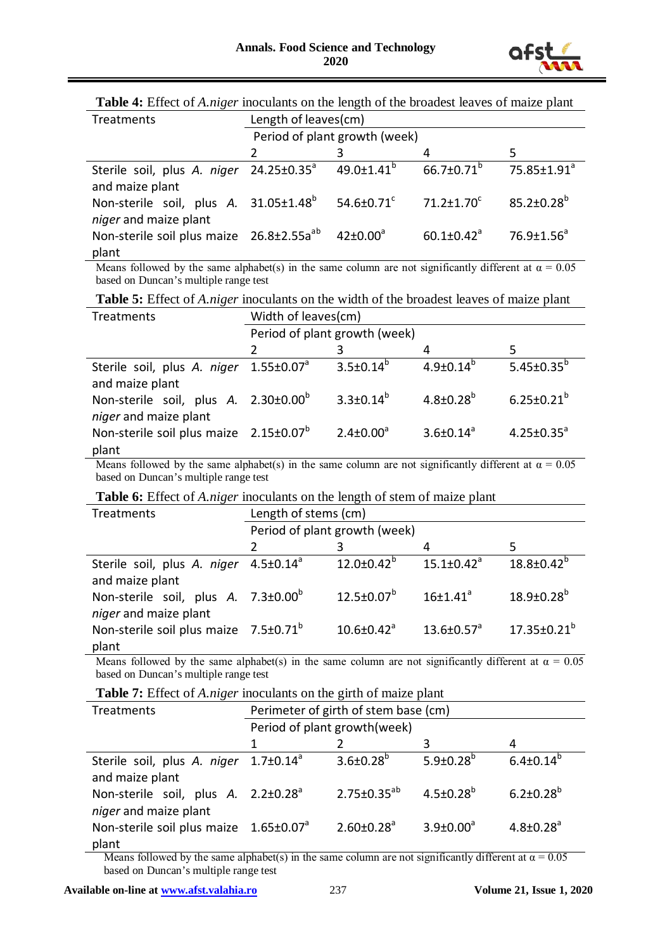

| Treatments                                                                                                  | Length of leaves(cm)          |                              |                              |                         |
|-------------------------------------------------------------------------------------------------------------|-------------------------------|------------------------------|------------------------------|-------------------------|
|                                                                                                             | Period of plant growth (week) |                              |                              |                         |
|                                                                                                             |                               |                              |                              | 5                       |
| Sterile soil, plus A. niger 24.25±0.35 <sup>a</sup><br>and maize plant                                      |                               | $49.0 \pm 1.41$ <sup>b</sup> | $66.7 \pm 0.71^b$            | 75.85±1.91 <sup>a</sup> |
| Non-sterile soil, plus A. 31.05±1.48 <sup>b</sup>                                                           |                               | 54.6 $\pm$ 0.71 $\rm{^c}$    | $71.2 \pm 1.70$ <sup>c</sup> | $85.2 \pm 0.28^b$       |
| niger and maize plant<br>Non-sterile soil plus maize 26.8±2.55a <sup>ab</sup> 42±0.00 <sup>a</sup><br>plant |                               |                              | $60.1 \pm 0.42$ <sup>a</sup> | $76.9 \pm 1.56^a$       |

Means followed by the same alphabet(s) in the same column are not significantly different at  $\alpha = 0.05$ based on Duncan's multiple range test

**Table 5:** Effect of *A.niger* inoculants on the width of the broadest leaves of maize plant

| Treatments                                                                | Width of leaves(cm)           |                    |                    |                            |  |  |
|---------------------------------------------------------------------------|-------------------------------|--------------------|--------------------|----------------------------|--|--|
|                                                                           | Period of plant growth (week) |                    |                    |                            |  |  |
|                                                                           |                               |                    |                    |                            |  |  |
| Sterile soil, plus A. niger 1.55±0.07 <sup>a</sup><br>and maize plant     |                               | $3.5 \pm 0.14^{b}$ | $4.9 \pm 0.14^{b}$ | 5.45 $\pm$ 0.35 $^{\rm b}$ |  |  |
| Non-sterile soil, plus A. 2.30±0.00 <sup>b</sup><br>niger and maize plant |                               | $3.3 \pm 0.14^{b}$ | $4.8 \pm 0.28^{b}$ | $6.25 \pm 0.21^{b}$        |  |  |
| Non-sterile soil plus maize 2.15±0.07 <sup>b</sup><br>plant               |                               | $2.4 \pm 0.00^a$   | $3.6 \pm 0.14^a$   | $4.25 \pm 0.35^a$          |  |  |

Means followed by the same alphabet(s) in the same column are not significantly different at  $\alpha = 0.05$ based on Duncan's multiple range test

**Table 6:** Effect of *A.niger* inoculants on the length of stem of maize plant

| Treatments                                                               | Length of stems (cm) |                               |                              |                         |  |  |  |
|--------------------------------------------------------------------------|----------------------|-------------------------------|------------------------------|-------------------------|--|--|--|
|                                                                          |                      | Period of plant growth (week) |                              |                         |  |  |  |
|                                                                          |                      |                               |                              |                         |  |  |  |
| Sterile soil, plus A. niger 4.5±0.14 <sup>ª</sup><br>and maize plant     |                      | $12.0 \pm 0.42^b$             | $15.1 \pm 0.42$ <sup>a</sup> | $18.8 \pm 0.42^b$       |  |  |  |
| Non-sterile soil, plus A. 7.3±0.00 <sup>b</sup><br>niger and maize plant |                      | $12.5 \pm 0.07^b$             | $16 \pm 1.41$ <sup>a</sup>   | $18.9 \pm 0.28^{\rm b}$ |  |  |  |
| Non-sterile soil plus maize 7.5±0.71 <sup>b</sup><br>plant               |                      | $10.6 \pm 0.42$ <sup>a</sup>  | $13.6 \pm 0.57$ <sup>a</sup> | $17.35 \pm 0.21^b$      |  |  |  |

Means followed by the same alphabet(s) in the same column are not significantly different at  $\alpha = 0.05$ based on Duncan's multiple range test

**Table 7:** Effect of *A.niger* inoculants on the girth of maize plant

| Treatments                                                                               | Perimeter of girth of stem base (cm) |                              |                             |                             |  |
|------------------------------------------------------------------------------------------|--------------------------------------|------------------------------|-----------------------------|-----------------------------|--|
|                                                                                          | Period of plant growth(week)         |                              |                             |                             |  |
|                                                                                          |                                      |                              |                             | 4                           |  |
| Sterile soil, plus A. niger 1.7±0.14 <sup>a</sup><br>and maize plant                     |                                      | $3.6 \pm 0.28^b$             | $5.9 \pm 0.28^{b}$          | $6.4 \pm 0.14^b$            |  |
| Non-sterile soil, plus A. 2.2±0.28 <sup>a</sup><br>niger and maize plant                 |                                      | $2.75 \pm 0.35^{ab}$         | $4.5 \pm 0.28$ <sup>b</sup> | $6.2 \pm 0.28^{b}$          |  |
| Non-sterile soil plus maize $1.65 \pm 0.07^{\circ}$<br>plant<br>$\overline{\phantom{a}}$ |                                      | $2.60 \pm 0.28$ <sup>a</sup> | $3.9 \pm 0.00^a$            | $4.8 \pm 0.28$ <sup>a</sup> |  |

Means followed by the same alphabet(s) in the same column are not significantly different at  $\alpha = 0.05$ based on Duncan's multiple range test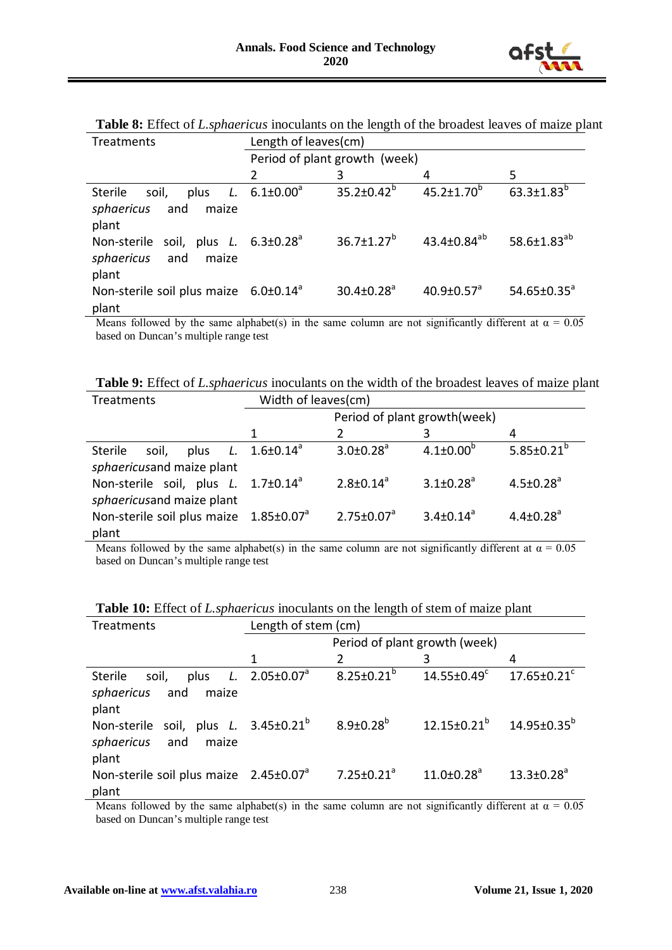

| Treatments                                                                            | Length of leaves(cm)          |                              |                              |                               |  |  |
|---------------------------------------------------------------------------------------|-------------------------------|------------------------------|------------------------------|-------------------------------|--|--|
|                                                                                       | Period of plant growth (week) |                              |                              |                               |  |  |
|                                                                                       | 2                             | 3                            | 4                            | 5                             |  |  |
| soil,<br><b>Sterile</b><br>plus<br>sphaericus<br>and<br>maize                         | L. $6.1 \pm 0.00^a$           | $35.2 \pm 0.42^b$            | $45.2 \pm 1.70^b$            | $63.3 \pm 1.83^{b}$           |  |  |
| plant<br>Non-sterile soil, plus L. $6.3\pm0.28^{\circ}$<br>sphaericus<br>and<br>maize |                               | $36.7 \pm 1.27^b$            | 43.4 $\pm$ 0.84 $^{ab}$      | 58.6 $\pm$ 1.83 <sup>ab</sup> |  |  |
| plant<br>Non-sterile soil plus maize $6.0 \pm 0.14^{\circ}$<br>plant                  |                               | $30.4 \pm 0.28$ <sup>a</sup> | $40.9 \pm 0.57$ <sup>a</sup> | $54.65 \pm 0.35^{\circ}$      |  |  |

**Table 8:** Effect of *L.sphaericus* inoculants on the length of the broadest leaves of maize plant

Means followed by the same alphabet(s) in the same column are not significantly different at  $\alpha = 0.05$ based on Duncan's multiple range test

**Table 9:** Effect of *L.sphaericus* inoculants on the width of the broadest leaves of maize plant

| Treatments                                               | Width of leaves(cm)          |                             |                             |                             |  |
|----------------------------------------------------------|------------------------------|-----------------------------|-----------------------------|-----------------------------|--|
|                                                          | Period of plant growth(week) |                             |                             |                             |  |
|                                                          |                              |                             |                             |                             |  |
| Sterile<br>soil,<br>plus                                 | L. $1.6 \pm 0.14^{\circ}$    | $3.0 \pm 0.28$ <sup>a</sup> | $4.1 \pm 0.00^{b}$          | 5.85 $\pm$ 0.21 $^{\circ}$  |  |
| sphaericusand maize plant                                |                              |                             |                             |                             |  |
| Non-sterile soil, plus $L$ . 1.7 $\pm$ 0.14 <sup>a</sup> |                              | $2.8 \pm 0.14^a$            | $3.1 \pm 0.28$ <sup>a</sup> | $4.5 \pm 0.28$ <sup>a</sup> |  |
| sphaericusand maize plant                                |                              |                             |                             |                             |  |
| Non-sterile soil plus maize 1.85±0.07 <sup>a</sup>       |                              | $2.75 \pm 0.07^a$           | $3.4 \pm 0.14^a$            | $4.4 \pm 0.28$ <sup>a</sup> |  |
| plant                                                    |                              |                             |                             |                             |  |

Means followed by the same alphabet(s) in the same column are not significantly different at  $\alpha = 0.05$ based on Duncan's multiple range test

| Treatments                                         | Length of stem (cm)  |                               |                                       |                               |  |  |
|----------------------------------------------------|----------------------|-------------------------------|---------------------------------------|-------------------------------|--|--|
|                                                    |                      | Period of plant growth (week) |                                       |                               |  |  |
|                                                    | 1                    |                               | 3                                     | 4                             |  |  |
| <b>Sterile</b><br>soil,<br>plus                    | L. $2.05 \pm 0.07^a$ | $8.25 \pm 0.21^b$             | $14.55 \pm 0.49^c$                    | $17.65 \pm 0.21$ <sup>c</sup> |  |  |
| sphaericus<br>and<br>maize                         |                      |                               |                                       |                               |  |  |
| plant                                              |                      |                               |                                       |                               |  |  |
| Non-sterile soil, plus L. 3.45±0.21 <sup>b</sup>   |                      | $8.9 \pm 0.28^b$              | $12.15\pm0.21^{b}$ $14.95\pm0.35^{b}$ |                               |  |  |
| sphaericus<br>and<br>maize                         |                      |                               |                                       |                               |  |  |
| plant                                              |                      |                               |                                       |                               |  |  |
| Non-sterile soil plus maize 2.45±0.07 <sup>a</sup> |                      | 7.25 $\pm$ 0.21 <sup>a</sup>  | $11.0 \pm 0.28$ <sup>a</sup>          | $13.3 \pm 0.28$ <sup>a</sup>  |  |  |
| plant                                              |                      |                               |                                       |                               |  |  |

**Table 10:** Effect of *L.sphaericus* inoculants on the length of stem of maize plant

Means followed by the same alphabet(s) in the same column are not significantly different at  $\alpha = 0.05$ based on Duncan's multiple range test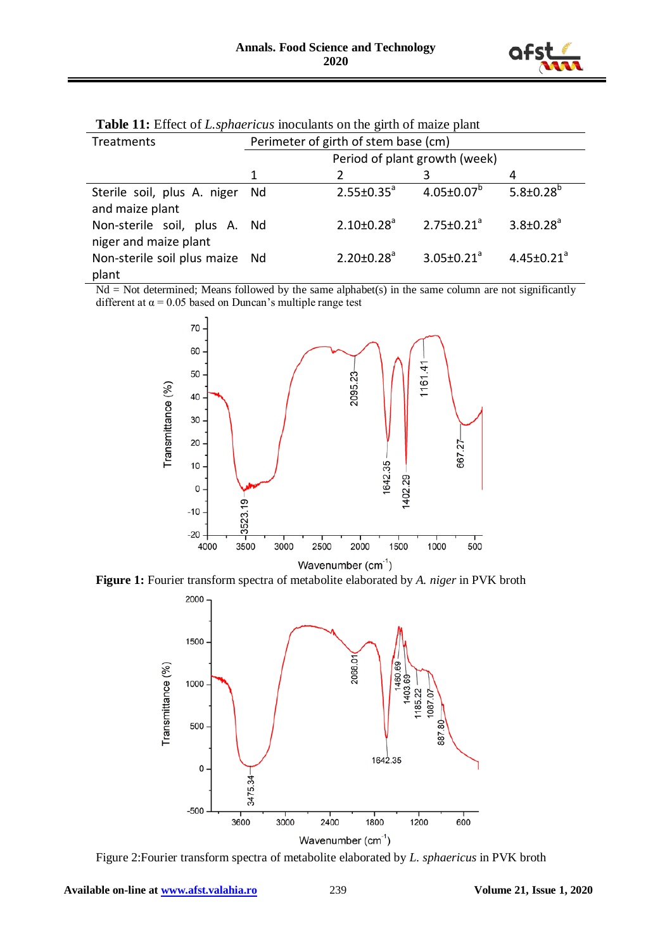

| <b>THOIC TILE EXAMPLE OF EXAMPLE THE CONDUCT OF THE CONDUCT OF THE CONDUCT</b> |                                      |                               |                              |                              |  |
|--------------------------------------------------------------------------------|--------------------------------------|-------------------------------|------------------------------|------------------------------|--|
| Treatments                                                                     | Perimeter of girth of stem base (cm) |                               |                              |                              |  |
|                                                                                |                                      | Period of plant growth (week) |                              |                              |  |
|                                                                                | 1                                    |                               |                              |                              |  |
| Sterile soil, plus A. niger<br>and maize plant                                 | Nd                                   | $2.55 \pm 0.35^a$             | $4.05 \pm 0.07^b$            | $5.8 \pm 0.28^{b}$           |  |
| Non-sterile soil, plus A. Nd<br>niger and maize plant                          |                                      | $2.10 \pm 0.28$ <sup>a</sup>  | $2.75 \pm 0.21^a$            | $3.8 \pm 0.28$ <sup>a</sup>  |  |
| Non-sterile soil plus maize Nd<br>plant                                        |                                      | $2.20 \pm 0.28$ <sup>a</sup>  | $3.05 \pm 0.21$ <sup>a</sup> | $4.45 \pm 0.21$ <sup>a</sup> |  |

**Table 11:** Effect of *L.sphaericus* inoculants on the girth of maize plant

 $Nd = Not determined; Means followed by the same alphabet(s) in the same column are not significantly.$ different at  $\alpha$  = 0.05 based on Duncan's multiple range test



**Figure 1:** Fourier transform spectra of metabolite elaborated by *A. niger* in PVK broth



Figure 2:Fourier transform spectra of metabolite elaborated by *L. sphaericus* in PVK broth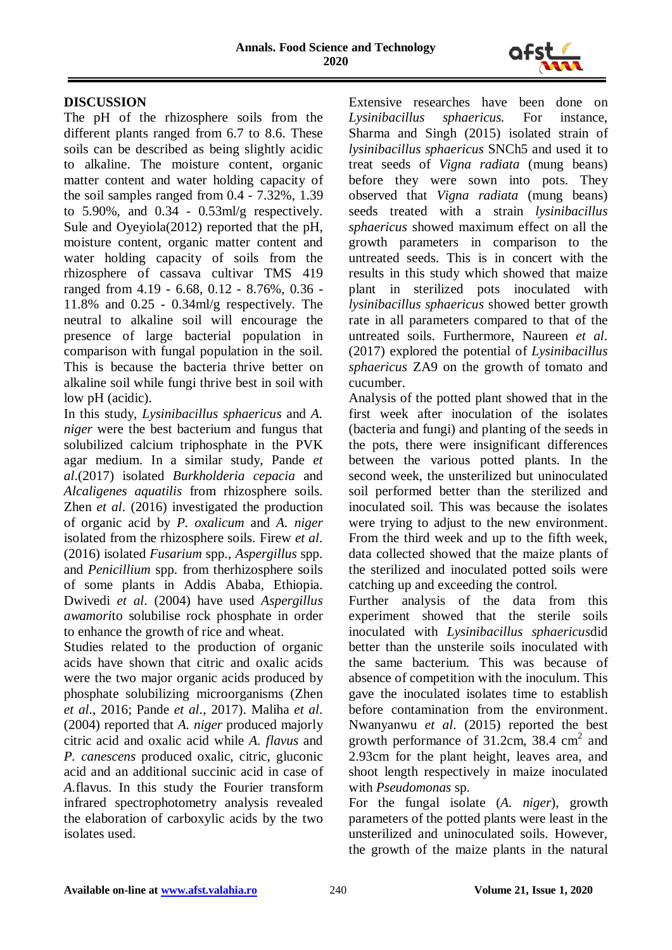

# **DISCUSSION**

The pH of the rhizosphere soils from the different plants ranged from 6.7 to 8.6. These soils can be described as being slightly acidic to alkaline. The moisture content, organic matter content and water holding capacity of the soil samples ranged from 0.4 - 7.32%, 1.39 to  $5.90\%$ , and  $0.34$  -  $0.53$ ml/g respectively. Sule and Oyeyiola(2012) reported that the pH, moisture content, organic matter content and water holding capacity of soils from the rhizosphere of cassava cultivar TMS 419 ranged from 4.19 - 6.68, 0.12 - 8.76%, 0.36 - 11.8% and 0.25 - 0.34ml/g respectively. The neutral to alkaline soil will encourage the presence of large bacterial population in comparison with fungal population in the soil. This is because the bacteria thrive better on alkaline soil while fungi thrive best in soil with low pH (acidic).

In this study, *Lysinibacillus sphaericus* and *A. niger* were the best bacterium and fungus that solubilized calcium triphosphate in the PVK agar medium. In a similar study, Pande *et al*.(2017) isolated *Burkholderia cepacia* and *Alcaligenes aquatilis* from rhizosphere soils. Zhen *et al*. (2016) investigated the production of organic acid by *P. oxalicum* and *A. niger* isolated from the rhizosphere soils. Firew *et al*. (2016) isolated *Fusarium* spp., *Aspergillus* spp. and *Penicillium* spp. from therhizosphere soils of some plants in Addis Ababa, Ethiopia. Dwivedi *et al*. (2004) have used *Aspergillus awamori*to solubilise rock phosphate in order to enhance the growth of rice and wheat.

Studies related to the production of organic acids have shown that citric and oxalic acids were the two major organic acids produced by phosphate solubilizing microorganisms (Zhen *et al*., 2016; Pande *et al*., 2017). Maliha *et al*. (2004) reported that *A. niger* produced majorly citric acid and oxalic acid while *A. flavus* and *P. canescens* produced oxalic, citric, gluconic acid and an additional succinic acid in case of *A.*flavus. In this study the Fourier transform infrared spectrophotometry analysis revealed the elaboration of carboxylic acids by the two isolates used.

Extensive researches have been done on *Lysinibacillus sphaericus.* For instance, Sharma and Singh (2015) isolated strain of *lysinibacillus sphaericus* SNCh5 and used it to treat seeds of *Vigna radiata* (mung beans) before they were sown into pots. They observed that *Vigna radiata* (mung beans) seeds treated with a strain *lysinibacillus sphaericus* showed maximum effect on all the growth parameters in comparison to the untreated seeds. This is in concert with the results in this study which showed that maize plant in sterilized pots inoculated with *lysinibacillus sphaericus* showed better growth rate in all parameters compared to that of the untreated soils. Furthermore, Naureen *et al*. (2017) explored the potential of *Lysinibacillus sphaericus* ZA9 on the growth of tomato and cucumber.

Analysis of the potted plant showed that in the first week after inoculation of the isolates (bacteria and fungi) and planting of the seeds in the pots, there were insignificant differences between the various potted plants. In the second week, the unsterilized but uninoculated soil performed better than the sterilized and inoculated soil. This was because the isolates were trying to adjust to the new environment. From the third week and up to the fifth week, data collected showed that the maize plants of the sterilized and inoculated potted soils were catching up and exceeding the control.

Further analysis of the data from this experiment showed that the sterile soils inoculated with *Lysinibacillus sphaericus*did better than the unsterile soils inoculated with the same bacterium. This was because of absence of competition with the inoculum. This gave the inoculated isolates time to establish before contamination from the environment. Nwanyanwu *et al*. (2015) reported the best growth performance of  $31.2$ cm,  $38.4 \text{ cm}^2$  and 2.93cm for the plant height, leaves area, and shoot length respectively in maize inoculated with *Pseudomonas* sp.

For the fungal isolate (*A. niger*), growth parameters of the potted plants were least in the unsterilized and uninoculated soils. However, the growth of the maize plants in the natural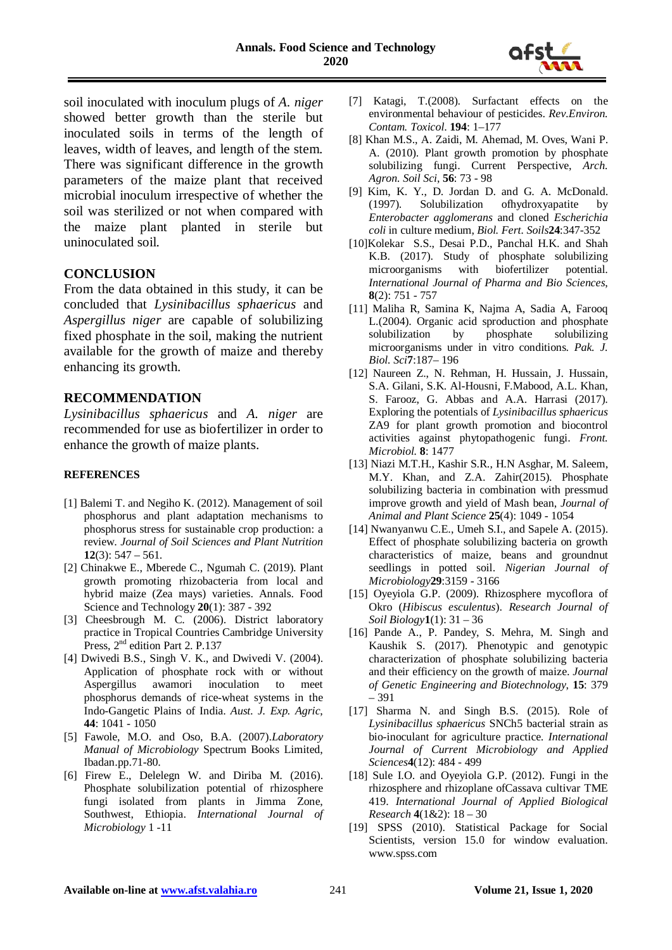

soil inoculated with inoculum plugs of *A. niger*  showed better growth than the sterile but inoculated soils in terms of the length of leaves, width of leaves, and length of the stem. There was significant difference in the growth parameters of the maize plant that received microbial inoculum irrespective of whether the soil was sterilized or not when compared with the maize plant planted in sterile but uninoculated soil.

#### **CONCLUSION**

From the data obtained in this study, it can be concluded that *Lysinibacillus sphaericus* and *Aspergillus niger* are capable of solubilizing fixed phosphate in the soil, making the nutrient available for the growth of maize and thereby enhancing its growth.

#### **RECOMMENDATION**

*Lysinibacillus sphaericus* and *A. niger* are recommended for use as biofertilizer in order to enhance the growth of maize plants.

#### **REFERENCES**

- [1] Balemi T. and Negiho K. (2012). Management of soil phosphorus and plant adaptation mechanisms to phosphorus stress for sustainable crop production: a review. *Journal of Soil Sciences and Plant Nutrition*  **12**(3): 547 – 561.
- [2] Chinakwe E., Mberede C., Ngumah C. (2019). Plant growth promoting rhizobacteria from local and hybrid maize (Zea mays) varieties. Annals. Food Science and Technology **20**(1): 387 - 392
- [3] Cheesbrough M. C. (2006). District laboratory practice in Tropical Countries Cambridge University Press, 2<sup>nd</sup> edition Part 2. P.137
- [4] Dwivedi B.S., Singh V. K., and Dwivedi V. (2004). Application of phosphate rock with or without Aspergillus awamori inoculation to meet phosphorus demands of rice-wheat systems in the Indo-Gangetic Plains of India. *Aust. J. Exp. Agric*, **44**: 1041 - 1050
- [5] Fawole, M.O. and Oso, B.A. (2007).*Laboratory Manual of Microbiology* Spectrum Books Limited, Ibadan.pp.71-80.
- [6] Firew E., Delelegn W. and Diriba M. (2016). Phosphate solubilization potential of rhizosphere fungi isolated from plants in Jimma Zone, Southwest, Ethiopia. *International Journal of Microbiology* 1 -11
- [7] Katagi, T.(2008). Surfactant effects on the environmental behaviour of pesticides. *Rev.Environ. Contam. Toxicol*. **194**: 1–177
- [8] Khan M.S., A. Zaidi, M. Ahemad, M. Oves, Wani P. A. (2010). Plant growth promotion by phosphate solubilizing fungi. Current Perspective, *Arch. Agron. Soil Sci*, **56**: 73 - 98
- [9] Kim, K. Y., D. Jordan D. and G. A. McDonald.<br>(1997). Solubilization of hydroxyapatite by (1997). Solubilization ofhydroxyapatite by *Enterobacter agglomerans* and cloned *Escherichia coli* in culture medium, *Biol. Fert. Soils***24**:347-352
- [10]Kolekar S.S., Desai P.D., Panchal H.K. and Shah K.B. (2017). Study of phosphate solubilizing microorganisms with biofertilizer potential. *International Journal of Pharma and Bio Sciences*, **8**(2): 751 - 757
- [11] Maliha R, Samina K, Najma A, Sadia A, Farooq L.(2004). Organic acid sproduction and phosphate solubilization by phosphate solubilizing microorganisms under in vitro conditions. *Pak. J. Biol. Sci***7**:187– 196
- [12] Naureen Z., N. Rehman, H. Hussain, J. Hussain, S.A. Gilani, S.K. Al-Housni, F.Mabood, A.L. Khan, S. Farooz, G. Abbas and A.A. Harrasi (2017). Exploring the potentials of *Lysinibacillus sphaericus* ZA9 for plant growth promotion and biocontrol activities against phytopathogenic fungi. *Front. Microbiol.* **8**: 1477
- [13] Niazi M.T.H., Kashir S.R., H.N Asghar, M. Saleem, M.Y. Khan, and Z.A. Zahir(2015). Phosphate solubilizing bacteria in combination with pressmud improve growth and yield of Mash bean, *Journal of Animal and Plant Science* **25**(4): 1049 - 1054
- [14] Nwanyanwu C.E., Umeh S.I., and Sapele A. (2015). Effect of phosphate solubilizing bacteria on growth characteristics of maize, beans and groundnut seedlings in potted soil. *Nigerian Journal of Microbiology***29**:3159 - 3166
- [15] Oyeyiola G.P. (2009). Rhizosphere mycoflora of Okro (*Hibiscus esculentus*). *Research Journal of Soil Biology***1**(1): 31 – 36
- [16] Pande A., P. Pandey, S. Mehra, M. Singh and Kaushik S. (2017). Phenotypic and genotypic characterization of phosphate solubilizing bacteria and their efficiency on the growth of maize. *Journal of Genetic Engineering and Biotechnology*, **15**: 379 – 391
- [17] Sharma N. and Singh B.S. (2015). Role of *Lysinibacillus sphaericus* SNCh5 bacterial strain as bio-inoculant for agriculture practice. *International Journal of Current Microbiology and Applied Sciences***4**(12): 484 - 499
- [18] Sule I.O. and Oyeyiola G.P. (2012). Fungi in the rhizosphere and rhizoplane ofCassava cultivar TME 419. *International Journal of Applied Biological Research* **4**(1&2): 18 – 30
- [19] SPSS (2010). Statistical Package for Social Scientists, version 15.0 for window evaluation. www.spss.com